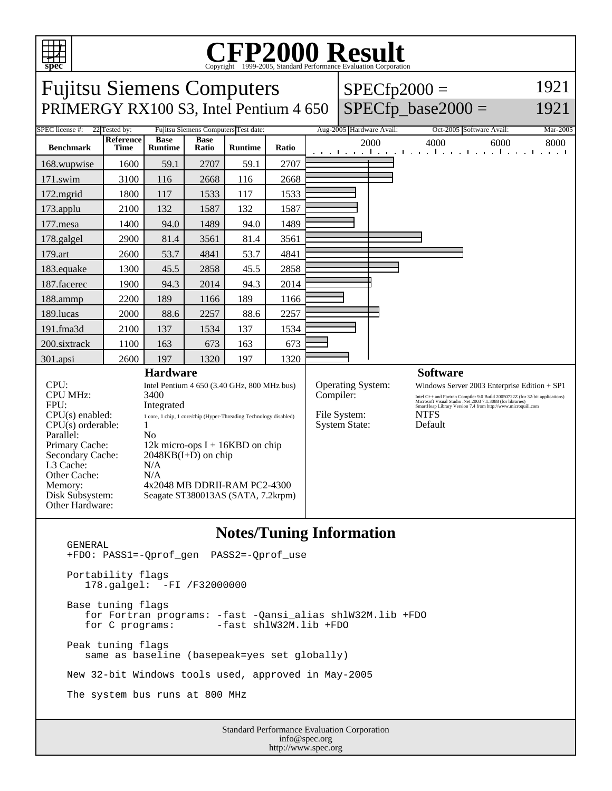

## C<sub>opyright</sub> ©1999-2005, Standard Performance Evaluation Corporation

| <b>Fujitsu Siemens Computers</b><br>PRIMERGY RX100 S3, Intel Pentium 4 650                                                                                                              |                                 |                                                                                                                                                                                                                                                                                                                                    |                      |                |       |  | $SPECfp2000 =$<br>$SPECfp\_base2000 =$                                 |                          | 1921<br>1921                                                                                                                                                                                                                                                                                      |      |          |
|-----------------------------------------------------------------------------------------------------------------------------------------------------------------------------------------|---------------------------------|------------------------------------------------------------------------------------------------------------------------------------------------------------------------------------------------------------------------------------------------------------------------------------------------------------------------------------|----------------------|----------------|-------|--|------------------------------------------------------------------------|--------------------------|---------------------------------------------------------------------------------------------------------------------------------------------------------------------------------------------------------------------------------------------------------------------------------------------------|------|----------|
| SPEC license #:<br>22 Tested by:<br>Fujitsu Siemens Computers Test date:                                                                                                                |                                 |                                                                                                                                                                                                                                                                                                                                    |                      |                |       |  |                                                                        | Aug-2005 Hardware Avail: | Oct-2005 Software Avail:                                                                                                                                                                                                                                                                          |      | Mar-2005 |
| <b>Benchmark</b>                                                                                                                                                                        | <b>Reference</b><br><b>Time</b> | <b>Base</b><br><b>Runtime</b>                                                                                                                                                                                                                                                                                                      | <b>Base</b><br>Ratio | <b>Runtime</b> | Ratio |  |                                                                        | 2000                     | 4000<br>التعبيلين ويالتعبيل بالتعبيل بعيانية والتعبيل بعيانية                                                                                                                                                                                                                                     | 6000 | 8000     |
| 168.wupwise                                                                                                                                                                             | 1600                            | 59.1                                                                                                                                                                                                                                                                                                                               | 2707                 | 59.1           | 2707  |  |                                                                        |                          |                                                                                                                                                                                                                                                                                                   |      |          |
| 171.swim                                                                                                                                                                                | 3100                            | 116                                                                                                                                                                                                                                                                                                                                | 2668                 | 116            | 2668  |  |                                                                        |                          |                                                                                                                                                                                                                                                                                                   |      |          |
| 172.mgrid                                                                                                                                                                               | 1800                            | 117                                                                                                                                                                                                                                                                                                                                | 1533                 | 117            | 1533  |  |                                                                        |                          |                                                                                                                                                                                                                                                                                                   |      |          |
| $173$ .applu                                                                                                                                                                            | 2100                            | 132                                                                                                                                                                                                                                                                                                                                | 1587                 | 132            | 1587  |  |                                                                        |                          |                                                                                                                                                                                                                                                                                                   |      |          |
| 177.mesa                                                                                                                                                                                | 1400                            | 94.0                                                                                                                                                                                                                                                                                                                               | 1489                 | 94.0           | 1489  |  |                                                                        |                          |                                                                                                                                                                                                                                                                                                   |      |          |
| 178.galgel                                                                                                                                                                              | 2900                            | 81.4                                                                                                                                                                                                                                                                                                                               | 3561                 | 81.4           | 3561  |  |                                                                        |                          |                                                                                                                                                                                                                                                                                                   |      |          |
| 179.art                                                                                                                                                                                 | 2600                            | 53.7                                                                                                                                                                                                                                                                                                                               | 4841                 | 53.7           | 4841  |  |                                                                        |                          |                                                                                                                                                                                                                                                                                                   |      |          |
| 183.equake                                                                                                                                                                              | 1300                            | 45.5                                                                                                                                                                                                                                                                                                                               | 2858                 | 45.5           | 2858  |  |                                                                        |                          |                                                                                                                                                                                                                                                                                                   |      |          |
| 187.facerec                                                                                                                                                                             | 1900                            | 94.3                                                                                                                                                                                                                                                                                                                               | 2014                 | 94.3           | 2014  |  |                                                                        |                          |                                                                                                                                                                                                                                                                                                   |      |          |
| 188.ammp                                                                                                                                                                                | 2200                            | 189                                                                                                                                                                                                                                                                                                                                | 1166                 | 189            | 1166  |  |                                                                        |                          |                                                                                                                                                                                                                                                                                                   |      |          |
| 189.lucas                                                                                                                                                                               | 2000                            | 88.6                                                                                                                                                                                                                                                                                                                               | 2257                 | 88.6           | 2257  |  |                                                                        |                          |                                                                                                                                                                                                                                                                                                   |      |          |
| 191.fma3d                                                                                                                                                                               | 2100                            | 137                                                                                                                                                                                                                                                                                                                                | 1534                 | 137            | 1534  |  |                                                                        |                          |                                                                                                                                                                                                                                                                                                   |      |          |
| 200.sixtrack                                                                                                                                                                            | 1100                            | 163                                                                                                                                                                                                                                                                                                                                | 673                  | 163            | 673   |  |                                                                        |                          |                                                                                                                                                                                                                                                                                                   |      |          |
| 301.apsi                                                                                                                                                                                | 2600                            | 197                                                                                                                                                                                                                                                                                                                                | 1320                 | 197            | 1320  |  |                                                                        |                          |                                                                                                                                                                                                                                                                                                   |      |          |
| CPU:<br><b>CPU MHz:</b><br>FPU:<br>$CPU(s)$ enabled:<br>CPU(s) orderable:<br>Parallel:<br>Primary Cache:<br>Secondary Cache:<br>L3 Cache:<br>Other Cache:<br>Memory:<br>Disk Subsystem: |                                 | <b>Hardware</b><br>Intel Pentium 4 650 (3.40 GHz, 800 MHz bus)<br>3400<br>Integrated<br>1 core, 1 chip, 1 core/chip (Hyper-Threading Technology disabled)<br>1<br>N <sub>0</sub><br>12k micro-ops $I + 16KBD$ on chip<br>$2048KB(I+D)$ on chip<br>N/A<br>N/A<br>4x2048 MB DDRII-RAM PC2-4300<br>Seagate ST380013AS (SATA, 7.2krpm) |                      |                |       |  | Operating System:<br>Compiler:<br>File System:<br><b>System State:</b> |                          | <b>Software</b><br>Windows Server 2003 Enterprise Edition + SP1<br>Intel C++ and Fortran Compiler 9.0 Build 20050722Z (for 32-bit applications) Microsoft Visual Studio .Net 2003 7.1.3088 (for libraries) SmartHeap Library Version 7.4 from http://www.microquill.com<br><b>NTFS</b><br>Default |      |          |
| Other Hardware:                                                                                                                                                                         |                                 |                                                                                                                                                                                                                                                                                                                                    |                      |                |       |  |                                                                        |                          |                                                                                                                                                                                                                                                                                                   |      |          |

## **Notes/Tuning Information**

 GENERAL +FDO: PASS1=-Qprof\_gen PASS2=-Qprof\_use Portability flags 178.galgel: -FI /F32000000 Base tuning flags for Fortran programs: -fast -Qansi\_alias shlW32M.lib +FDO  $-fast$  shlW32M.lib +FDO Peak tuning flags same as baseline (basepeak=yes set globally) New 32-bit Windows tools used, approved in May-2005 The system bus runs at 800 MHz

Standard Performance Evaluation Corporation info@spec.org http://www.spec.org